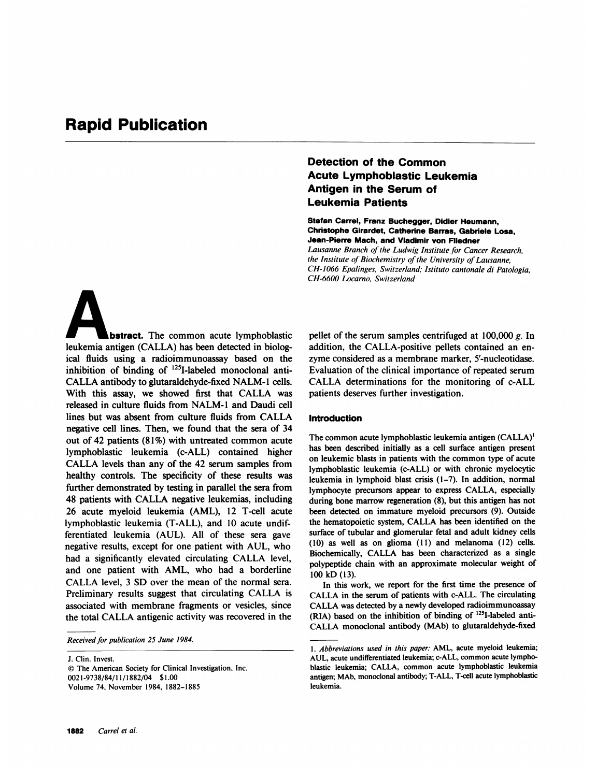# Rapid Publication

**Abstract.** The common acute lymphoblastic leukemia antigen (CALLA) has been detected in biological fluids using a radioimmunoassay based on the inhibition of binding of  $125$ I-labeled monoclonal anti-CALLA antibody to glutaraldehyde-fixed NALM-<sup>1</sup> cells. With this assay, we showed first that CALLA was released in culture fluids from NALM-1 and Daudi cell lines but was absent from culture fluids from CALLA negative cell lines. Then, we found that the sera of 34 out of 42 patients (81%) with untreated common acute lymphoblastic leukemia (c-ALL) contained higher CALLA levels than any of the 42 serum samples from healthy controls. The specificity of these results was further demonstrated by testing in parallel the sera from 48 patients with CALLA negative leukemias, including 26 acute myeloid leukemia (AML), 12 T-cell acute lymphoblastic leukemia (T-ALL), and 10 acute undifferentiated leukemia (AUL). All of these sera gave negative results, except for one patient with AUL, who had <sup>a</sup> significantly elevated circulating CALLA level, and one patient with AML, who had a borderline CALLA level, <sup>3</sup> SD over the mean of the normal sera. Preliminary results suggest that circulating CALLA is associated with membrane fragments or vesicles, since the total CALLA antigenic activity was recovered in the

Received for publication 25 June 1984.

J. Clin. Invest.

© The American Society for Clinical Investigation, Inc. 0021-9738/84/11/1882/04 \$1.00 Volume 74, November 1984, 1882-1885

## Detection of the Common Acute Lymphoblastic Leukemia Antigen in the Serum of Leukemia Patients

CH-6600 Locarno, Switzerland

Stefan Carrel, Franz Buchegger, Didier Heumann, Christophe Girardet, Catherine Barras, Gabriele Losa, Jean-Pierre Mach, and Vladimir von Fliedner Lausanne Branch of the Ludwig Institute for Cancer Research, the Institute of Biochemistry of the University of Lausanne, CH-1066 Epalinges, Switzerland; Istituto cantonale di Patologia,

pellet of the serum samples centrifuged at  $100,000 \, \text{g}$ . In addition, the CALLA-positive pellets contained an enzyme considered as a membrane marker, <sup>5</sup>'-nucleotidase. Evaluation of the clinical importance of repeated serum CALLA determinations for the monitoring of c-ALL patients deserves further investigation.

### Introduction

The common acute lymphoblastic leukemia antigen (CALLA)' has been described initially as a cell surface antigen present on leukemic blasts in patients with the common type of acute lymphoblastic leukemia (c-ALL) or with chronic myelocytic leukemia in lymphoid blast crisis (1-7). In addition, normal lymphocyte precursors appear to express CALLA, especially during bone marrow regeneration (8), but this antigen has not been detected on immature myeloid precursors (9). Outside the hematopoietic system, CALLA has been identified on the surface of tubular and glomerular fetal and adult kidney cells (10) as well as on glioma (11) and melanoma (12) cells. Biochemically, CALLA has been characterized as <sup>a</sup> single polypeptide chain with an approximate molecular weight of 100 kD (13).

In this work, we report for the first time the presence of CALLA in the serum of patients with c-ALL. The circulating CALLA was detected by <sup>a</sup> newly developed radioimmunoassay (RIA) based on the inhibition of binding of '251-labeled anti-CALLA monoclonal antibody (MAb) to glutaraldehyde-fixed

<sup>1.</sup> Abbreviations used in this paper: AML, acute myeloid leukemia; AUL, acute undifferentiated leukemia; c-ALL, common acute lymphoblastic leukemia; CALLA, common acute lymphoblastic leukemia antigen; MAb, monoclonal antibody; T-ALL, T-cell acute lymphoblastic leukemia.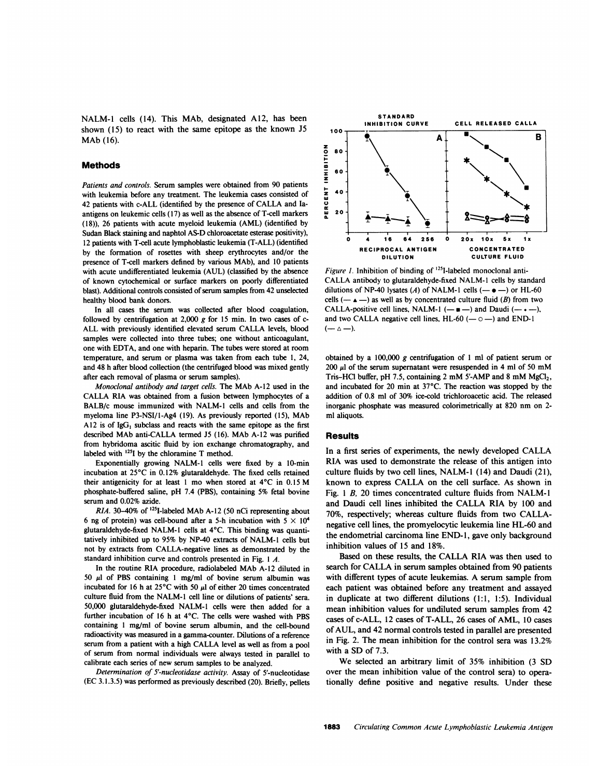NALM-1 cells (14). This MAb, designated A12, has been shown (15) to react with the same epitope as the known J5 MAb (16).

#### Methods

Patients and controls. Serum samples were obtained from 90 patients with leukemia before any treatment. The leukemia cases consisted of 42 patients with c-ALL (identified by the presence of CALLA and Iaantigens on leukemic cells (17) as well as the absence of T-cell markers (18)), 26 patients with acute myeloid leukemia (AML) (identified by Sudan Black staining and naphtol AS-D chloroacetate esterase positivity), 12 patients with T-cell acute lymphoblastic leukemia (T-ALL) (identified by the formation of rosettes with sheep erythrocytes and/or the presence of T-cell markers defined by various MAb), and 10 patients with acute undifferentiated leukemia (AUL) (classified by the absence of known cytochemical or surface markers on poorly differentiated blast). Additional controls consisted of serum samples from 42 unselected healthy blood bank donors.

In all cases the serum was collected after blood coagulation, followed by centrifugation at 2,000  $g$  for 15 min. In two cases of c-ALL with previously identified elevated serum CALLA levels, blood samples were collected into three tubes; one without anticoagulant, one with EDTA, and one with heparin. The tubes were stored at room temperature, and serum or plasma was taken from each tube 1, 24, and 48 h after blood collection (the centrifuged blood was mixed gently after each removal of plasma or serum samples).

Monoclonal antibody and target cells. The MAb A-12 used in the CALLA RIA was obtained from a fusion between lymphocytes of a BALB/c mouse immunized with NALM-1 cells and cells from the myeloma line P3-NSI/l-Ag4 (19). As previously reported (15), MAb A12 is of  $IgG_1$  subclass and reacts with the same epitope as the first described MAb anti-CALLA termed J5 (16). MAb A-12 was purified from hybridoma ascitic fluid by ion exchange chromatography, and labeled with <sup>1251</sup> by the chloramine T method.

Exponentially growing NALM-1 cells were fixed by a 10-min incubation at 25°C in 0.12% glutaraldehyde. The fixed cells retained their antigenicity for at least <sup>1</sup> mo when stored at 4°C in 0.15 M phosphate-buffered saline, pH 7.4 (PBS), containing 5% fetal bovine serum and 0.02% azide.

RIA. 30-40% of <sup>125</sup>I-labeled MAb A-12 (50 nCi representing about 6 ng of protein) was cell-bound after a 5-h incubation with  $5 \times 10^4$ glutaraldehyde-fixed NALM-1 cells at 4°C. This binding was quantitatively inhibited up to 95% by NP-40 extracts of NALM-1 cells but not by extracts from CALLA-negative lines as demonstrated by the standard inhibition curve and controls presented in Fig. <sup>I</sup> A.

In the routine RIA procedure, radiolabeled MAb A-12 diluted in 50  $\mu$ l of PBS containing 1 mg/ml of bovine serum albumin was incubated for 16 h at  $25^{\circ}$ C with 50  $\mu$ l of either 20 times concentrated culture fluid from the NALM-1 cell line or dilutions of patients' sera. 50,000 glutaraldehyde-fixed NALM-1 cells were then added for a further incubation of 16 h at 4°C. The cells were washed with PBS containing <sup>I</sup> mg/ml of bovine serum albumin, and the cell-bound radioactivity was measured in a gamma-counter. Dilutions of a reference serum from <sup>a</sup> patient with <sup>a</sup> high CALLA level as well as from <sup>a</sup> pool of serum from normal individuals were always tested in parallel to calibrate each series of new serum samples to be analyzed.

Determination of <sup>S</sup>'-nucleotidase activity. Assay of <sup>5</sup>'-nucleotidase (EC 3.1.3.5) was performed as previously described (20). Briefly, pellets



Figure 1. Inhibition of binding of <sup>125</sup>I-labeled monoclonal anti-CALLA antibody to glutaraldehyde-fixed NALM-1 cells by standard dilutions of NP-40 lysates (A) of NALM-1 cells ( $- \bullet -$ ) or HL-60 cells ( $-\triangle$ ) as well as by concentrated culture fluid (B) from two CALLA-positive cell lines, NALM-1  $(- \cdot -)$  and Daudi  $(- \cdot -)$ , and two CALLA negative cell lines,  $HL-60$  ( $- \circ -$ ) and END-1  $(- \Delta -)$ .

obtained by a 100,000 g centrifugation of 1 ml of patient serum or  $200 \mu l$  of the serum supernatant were resuspended in 4 ml of 50 mM Tris-HCl buffer, pH 7.5, containing  $2 \text{ mM } 5'$ -AMP and  $8 \text{ mM } MgCl<sub>2</sub>$ , and incubated for 20 min at 37°C. The reaction was stopped by the addition of 0.8 ml of 30% ice-cold trichloroacetic acid. The released inorganic phosphate was measured colorimetrically at 820 nm on 2 ml aliquots.

#### **Results**

In <sup>a</sup> first series of experiments, the newly developed CALLA RIA was used to demonstrate the release of this antigen into culture fluids by two cell lines, NALM-I (14) and Daudi (21), known to express CALLA on the cell surface. As shown in Fig. <sup>1</sup> B, 20 times concentrated culture fluids from NALM-1 and Daudi cell lines inhibited the CALLA RIA by <sup>100</sup> and 70%, respectively; whereas culture fluids from two CALLAnegative cell lines, the promyelocytic leukemia line HL-60 and the endometrial carcinoma line END- 1, gave only background inhibition values of 15 and 18%.

Based on these results, the CALLA RIA was then used to search for CALLA in serum samples obtained from 90 patients with different types of acute leukemias. A serum sample from each patient was obtained before any treatment and assayed in duplicate at two different dilutions (1:1, 1:5). Individual mean inhibition values for undiluted serum samples from 42 cases of c-ALL, <sup>12</sup> cases of T-ALL, 26 cases of AML, <sup>10</sup> cases of AUL, and 42 normal controls tested in parallel are presented in Fig. 2. The mean inhibition for the control sera was 13.2% with a SD of 7.3.

We selected an arbitrary limit of 35% inhibition (3 SD over the mean inhibition value of the control sera) to operationally define positive and negative results. Under these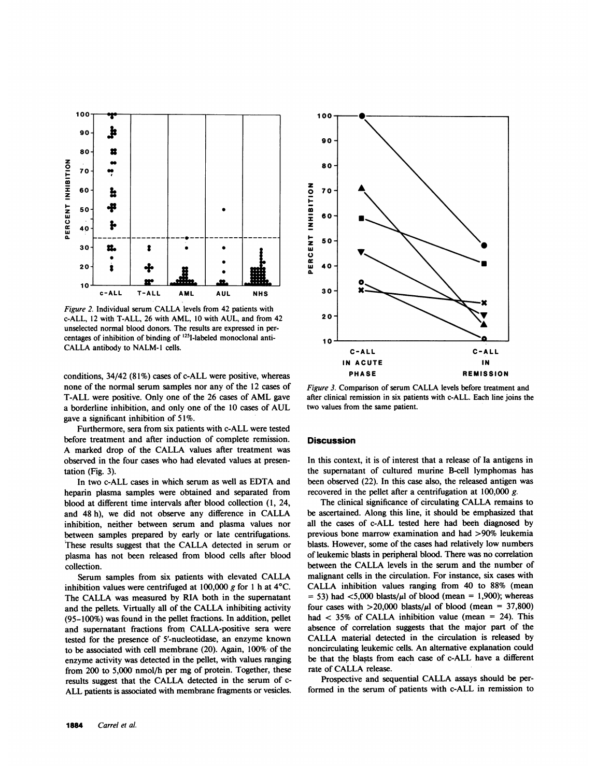

Figure 2. Individual serum CALLA levels from 42 patients with c-ALL, <sup>12</sup> with T-ALL, 26 with AML, <sup>10</sup> with AUL, and from 42 unselected normal blood donors. The results are expressed in percentages of inhibition of binding of '25I-labeled monoclonal anti-CALLA antibody to NALM-<sup>I</sup> cells.

conditions, 34/42 (81%) cases of c-ALL were positive, whereas none of the normal serum samples nor any of the 12 cases of T-ALL were positive. Only one of the <sup>26</sup> cases of AML gave <sup>a</sup> borderline inhibition, and only one of the <sup>10</sup> cases of AUL gave a significant inhibition of 51%.

Furthermore, sera from six patients with c-ALL were tested before treatment and after induction of complete remission. A marked drop of the CALLA values after treatment was observed in the four cases who had elevated values at presentation (Fig. 3).

In two c-ALL cases in which serum as well as EDTA and heparin plasma samples were obtained and separated from blood at different time intervals after blood collection (1, 24, and 48 h), we did not observe any difference in CALLA inhibition, neither between serum and plasma values nor between samples prepared by early or late centrifugations. These results suggest that the CALLA detected in serum or plasma has not been released from blood cells after blood collection.

Serum samples from six patients with elevated CALLA inhibition values were centrifuged at 100,000 g for 1 h at  $4^{\circ}$ C. The CALLA was measured by RIA both in the supernatant and the pellets. Virtually all of the CALLA inhibiting activity (95-100%) was found in the pellet fractions. In addition, pellet and supernatant fractions from CALLA-positive sera were tested for the presence of <sup>5</sup>'-nucleotidase, an enzyme known to be associated with cell membrane (20). Again, 100% of the enzyme activity was detected in the pellet, with values ranging from 200 to 5,000 nmol/h per mg of protein. Together, these results suggest that the CALLA detected in the serum of c-ALL patients is associated with membrane fragments or vesicles.



Figure 3. Comparison of serum CALLA levels before treatment and after clinical remission in six patients with c-ALL. Each line joins the two values from the same patient.

### **Discussion**

In this context, it is of interest that a release of Ia antigens in the supernatant of cultured murine B-cell lymphomas has been observed (22). In this case also, the released antigen was recovered in the pellet after a centrifugation at 100,000 g.

The clinical significance of circulating CALLA remains to be ascertained. Along this line, it should be emphasized that all the cases of c-ALL tested here had been diagnosed by previous bone marrow examination and had >90% leukemia blasts. However, some of the cases had relatively low numbers of leukemic blasts in peripheral blood. There was no correlation between the CALLA levels in the serum and the number of malignant cells in the circulation. For instance, six cases with CALLA inhibition values ranging from 40 to 88% (mean  $=$  53) had <5,000 blasts/ $\mu$ l of blood (mean = 1,900); whereas four cases with  $>20,000$  blasts/ $\mu$ l of blood (mean = 37,800) had  $<$  35% of CALLA inhibition value (mean = 24). This absence of correlation suggests that the major part of the CALLA material detected in the circulation is released by noncirculating leukemic cells. An alternative explanation could be that the blasts from each case of c-ALL have a different rate of CALLA release.

Prospective and sequential CALLA assays should be performed in the serum of patients with c-ALL in remission to